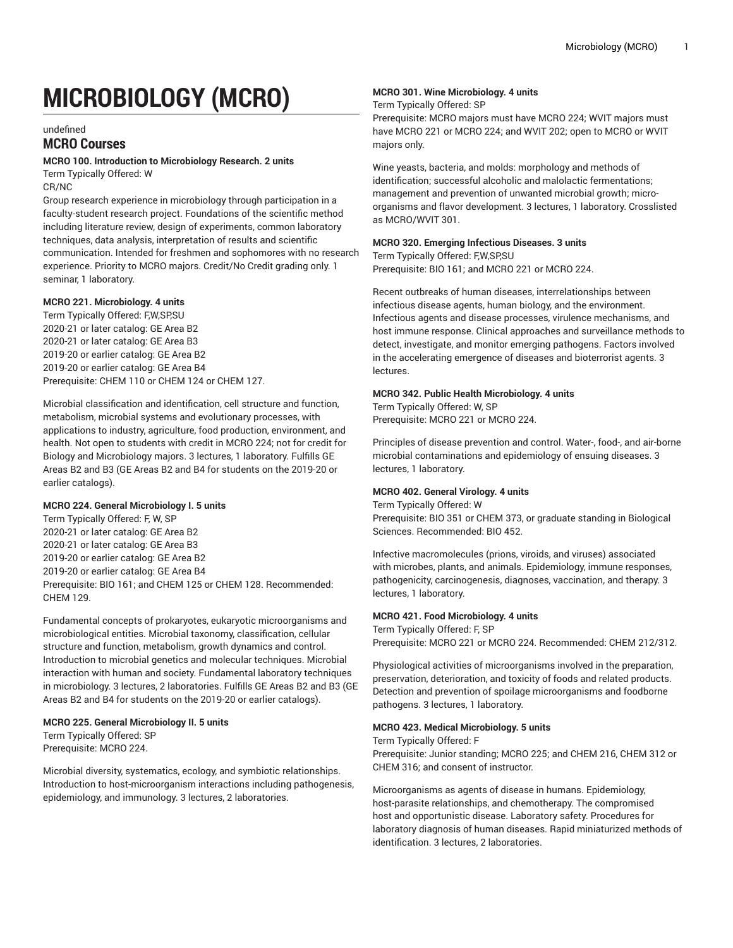# **MICROBIOLOGY (MCRO)**

undefined

## **MCRO Courses**

#### **MCRO 100. Introduction to Microbiology Research. 2 units**

Term Typically Offered: W CR/NC

Group research experience in microbiology through participation in a faculty-student research project. Foundations of the scientific method including literature review, design of experiments, common laboratory techniques, data analysis, interpretation of results and scientific communication. Intended for freshmen and sophomores with no research experience. Priority to MCRO majors. Credit/No Credit grading only. 1 seminar, 1 laboratory.

#### **MCRO 221. Microbiology. 4 units**

Term Typically Offered: F,W,SP,SU 2020-21 or later catalog: GE Area B2 2020-21 or later catalog: GE Area B3 2019-20 or earlier catalog: GE Area B2 2019-20 or earlier catalog: GE Area B4 Prerequisite: CHEM 110 or CHEM 124 or CHEM 127.

Microbial classification and identification, cell structure and function, metabolism, microbial systems and evolutionary processes, with applications to industry, agriculture, food production, environment, and health. Not open to students with credit in MCRO 224; not for credit for Biology and Microbiology majors. 3 lectures, 1 laboratory. Fulfills GE Areas B2 and B3 (GE Areas B2 and B4 for students on the 2019-20 or earlier catalogs).

#### **MCRO 224. General Microbiology I. 5 units**

Term Typically Offered: F, W, SP 2020-21 or later catalog: GE Area B2 2020-21 or later catalog: GE Area B3 2019-20 or earlier catalog: GE Area B2 2019-20 or earlier catalog: GE Area B4 Prerequisite: BIO 161; and CHEM 125 or CHEM 128. Recommended: CHEM 129.

Fundamental concepts of prokaryotes, eukaryotic microorganisms and microbiological entities. Microbial taxonomy, classification, cellular structure and function, metabolism, growth dynamics and control. Introduction to microbial genetics and molecular techniques. Microbial interaction with human and society. Fundamental laboratory techniques in microbiology. 3 lectures, 2 laboratories. Fulfills GE Areas B2 and B3 (GE Areas B2 and B4 for students on the 2019-20 or earlier catalogs).

## **MCRO 225. General Microbiology II. 5 units**

Term Typically Offered: SP Prerequisite: MCRO 224.

Microbial diversity, systematics, ecology, and symbiotic relationships. Introduction to host-microorganism interactions including pathogenesis, epidemiology, and immunology. 3 lectures, 2 laboratories.

## **MCRO 301. Wine Microbiology. 4 units**

#### Term Typically Offered: SP

Prerequisite: MCRO majors must have MCRO 224; WVIT majors must have MCRO 221 or MCRO 224; and WVIT 202; open to MCRO or WVIT majors only.

Wine yeasts, bacteria, and molds: morphology and methods of identification; successful alcoholic and malolactic fermentations; management and prevention of unwanted microbial growth; microorganisms and flavor development. 3 lectures, 1 laboratory. Crosslisted as MCRO/WVIT 301.

#### **MCRO 320. Emerging Infectious Diseases. 3 units**

Term Typically Offered: F,W,SP,SU Prerequisite: BIO 161; and MCRO 221 or MCRO 224.

Recent outbreaks of human diseases, interrelationships between infectious disease agents, human biology, and the environment. Infectious agents and disease processes, virulence mechanisms, and host immune response. Clinical approaches and surveillance methods to detect, investigate, and monitor emerging pathogens. Factors involved in the accelerating emergence of diseases and bioterrorist agents. 3 lectures.

#### **MCRO 342. Public Health Microbiology. 4 units**

Term Typically Offered: W, SP Prerequisite: MCRO 221 or MCRO 224.

Principles of disease prevention and control. Water-, food-, and air-borne microbial contaminations and epidemiology of ensuing diseases. 3 lectures, 1 laboratory.

## **MCRO 402. General Virology. 4 units**

Term Typically Offered: W

Prerequisite: BIO 351 or CHEM 373, or graduate standing in Biological Sciences. Recommended: BIO 452.

Infective macromolecules (prions, viroids, and viruses) associated with microbes, plants, and animals. Epidemiology, immune responses, pathogenicity, carcinogenesis, diagnoses, vaccination, and therapy. 3 lectures, 1 laboratory.

#### **MCRO 421. Food Microbiology. 4 units**

Term Typically Offered: F, SP Prerequisite: MCRO 221 or MCRO 224. Recommended: CHEM 212/312.

Physiological activities of microorganisms involved in the preparation, preservation, deterioration, and toxicity of foods and related products. Detection and prevention of spoilage microorganisms and foodborne pathogens. 3 lectures, 1 laboratory.

#### **MCRO 423. Medical Microbiology. 5 units**

Term Typically Offered: F Prerequisite: Junior standing; MCRO 225; and CHEM 216, CHEM 312 or CHEM 316; and consent of instructor.

Microorganisms as agents of disease in humans. Epidemiology, host-parasite relationships, and chemotherapy. The compromised host and opportunistic disease. Laboratory safety. Procedures for laboratory diagnosis of human diseases. Rapid miniaturized methods of identification. 3 lectures, 2 laboratories.